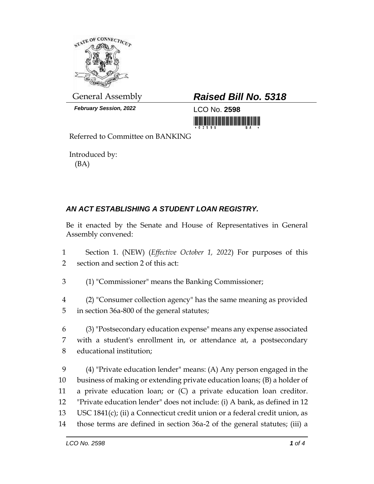

*February Session, 2022* LCO No. **2598**

## General Assembly *Raised Bill No. 5318*

<u> 1999 - Johann Maria Maria Maria Maria Maria Maria Maria Maria Maria Maria Maria Maria Maria Maria Maria Mari</u>

Referred to Committee on BANKING

Introduced by: (BA)

## *AN ACT ESTABLISHING A STUDENT LOAN REGISTRY.*

Be it enacted by the Senate and House of Representatives in General Assembly convened:

- 1 Section 1. (NEW) (*Effective October 1, 2022*) For purposes of this 2 section and section 2 of this act:
- 3 (1) "Commissioner" means the Banking Commissioner;
- 4 (2) "Consumer collection agency" has the same meaning as provided 5 in section 36a-800 of the general statutes;
- 6 (3) "Postsecondary education expense" means any expense associated 7 with a student's enrollment in, or attendance at, a postsecondary 8 educational institution;
- 9 (4) "Private education lender" means: (A) Any person engaged in the 10 business of making or extending private education loans; (B) a holder of 11 a private education loan; or (C) a private education loan creditor. 12 "Private education lender" does not include: (i) A bank, as defined in 12 13 USC 1841(c); (ii) a Connecticut credit union or a federal credit union, as 14 those terms are defined in section 36a-2 of the general statutes; (iii) a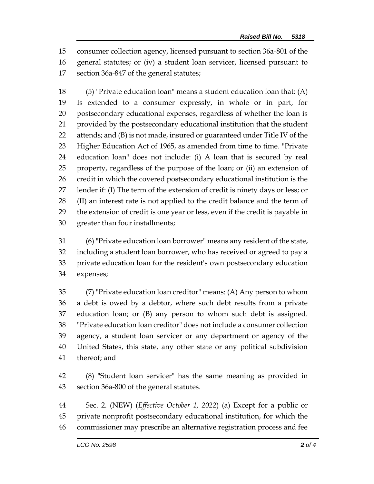consumer collection agency, licensed pursuant to section 36a-801 of the general statutes; or (iv) a student loan servicer, licensed pursuant to section 36a-847 of the general statutes;

 (5) "Private education loan" means a student education loan that: (A) Is extended to a consumer expressly, in whole or in part, for postsecondary educational expenses, regardless of whether the loan is provided by the postsecondary educational institution that the student attends; and (B) is not made, insured or guaranteed under Title IV of the Higher Education Act of 1965, as amended from time to time. "Private education loan" does not include: (i) A loan that is secured by real property, regardless of the purpose of the loan; or (ii) an extension of 26 credit in which the covered postsecondary educational institution is the lender if: (I) The term of the extension of credit is ninety days or less; or (II) an interest rate is not applied to the credit balance and the term of the extension of credit is one year or less, even if the credit is payable in greater than four installments;

 (6) "Private education loan borrower" means any resident of the state, including a student loan borrower, who has received or agreed to pay a private education loan for the resident's own postsecondary education expenses;

 (7) "Private education loan creditor" means: (A) Any person to whom a debt is owed by a debtor, where such debt results from a private education loan; or (B) any person to whom such debt is assigned. "Private education loan creditor" does not include a consumer collection agency, a student loan servicer or any department or agency of the United States, this state, any other state or any political subdivision thereof; and

 (8) "Student loan servicer" has the same meaning as provided in section 36a-800 of the general statutes.

 Sec. 2. (NEW) (*Effective October 1, 2022*) (a) Except for a public or private nonprofit postsecondary educational institution, for which the commissioner may prescribe an alternative registration process and fee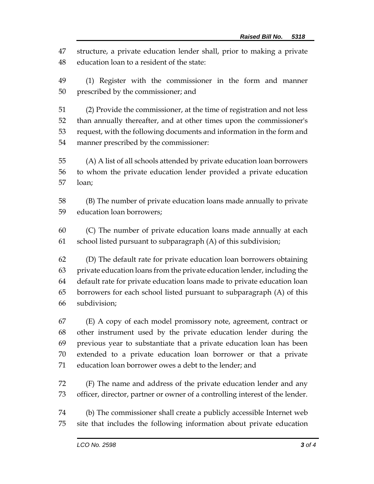structure, a private education lender shall, prior to making a private education loan to a resident of the state:

 (1) Register with the commissioner in the form and manner prescribed by the commissioner; and

 (2) Provide the commissioner, at the time of registration and not less than annually thereafter, and at other times upon the commissioner's request, with the following documents and information in the form and manner prescribed by the commissioner:

 (A) A list of all schools attended by private education loan borrowers to whom the private education lender provided a private education loan;

 (B) The number of private education loans made annually to private education loan borrowers;

 (C) The number of private education loans made annually at each 61 school listed pursuant to subparagraph  $(A)$  of this subdivision;

 (D) The default rate for private education loan borrowers obtaining private education loans from the private education lender, including the default rate for private education loans made to private education loan borrowers for each school listed pursuant to subparagraph (A) of this subdivision;

 (E) A copy of each model promissory note, agreement, contract or other instrument used by the private education lender during the previous year to substantiate that a private education loan has been extended to a private education loan borrower or that a private education loan borrower owes a debt to the lender; and

 (F) The name and address of the private education lender and any officer, director, partner or owner of a controlling interest of the lender.

 (b) The commissioner shall create a publicly accessible Internet web site that includes the following information about private education